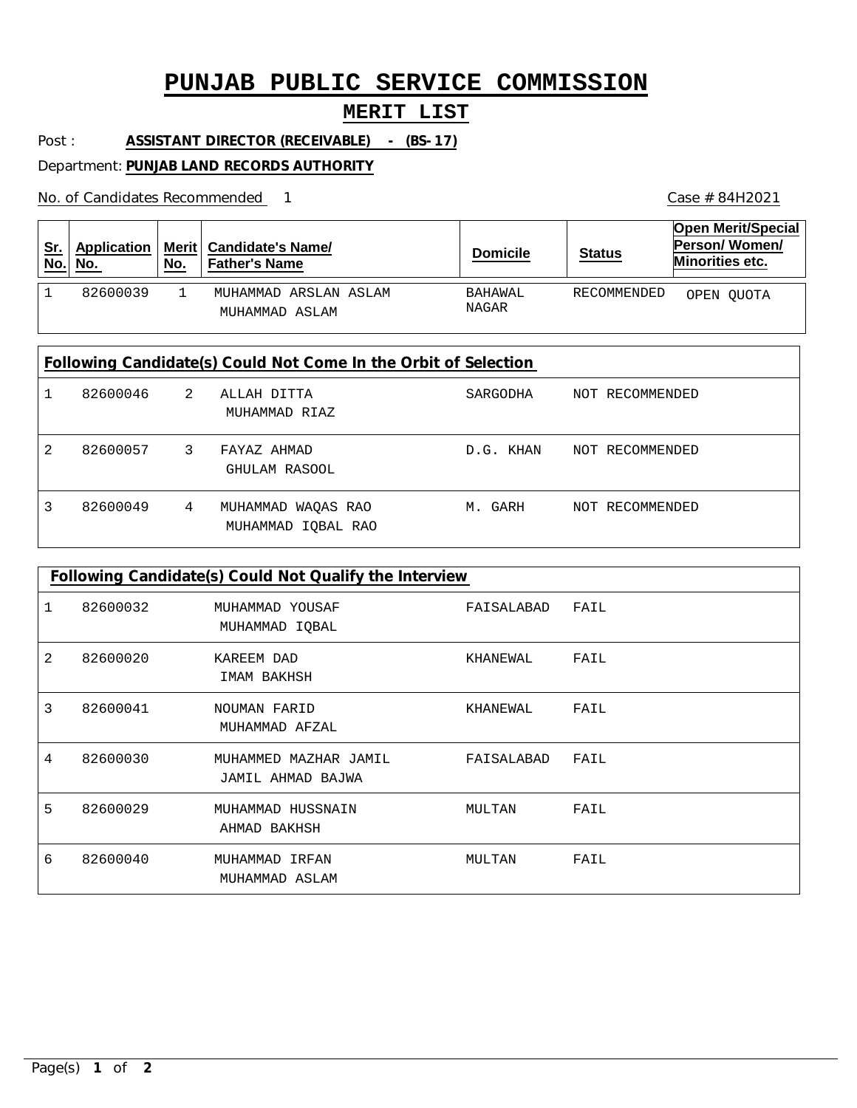## **PUNJAB PUBLIC SERVICE COMMISSION**

## **MERIT LIST**

Post : **ASSISTANT DIRECTOR (RECEIVABLE) - (BS-17)**

Department: **PUNJAB LAND RECORDS AUTHORITY**

No. of Candidates Recommended

| <u>Sr.</u><br>No.                                               | Application<br>No. | <b>Merit</b><br>No. | <b>Candidate's Name/</b><br><b>Father's Name</b> | <b>Domicile</b>  | <b>Status</b>   | <b>Open Merit/Special</b><br>Person/Women/<br>Minorities etc. |  |
|-----------------------------------------------------------------|--------------------|---------------------|--------------------------------------------------|------------------|-----------------|---------------------------------------------------------------|--|
| $\mathbf{1}$                                                    | 82600039           | 1                   | MUHAMMAD ARSLAN ASLAM<br>MUHAMMAD ASLAM          | BAHAWAL<br>NAGAR | RECOMMENDED     | OPEN QUOTA                                                    |  |
| Following Candidate(s) Could Not Come In the Orbit of Selection |                    |                     |                                                  |                  |                 |                                                               |  |
|                                                                 | 82600046           | $2^{1}$             | ALLAH DITTA<br>MUHAMMAD RIAZ                     | SARGODHA         | NOT RECOMMENDED |                                                               |  |
| 2                                                               | 82600057           | 3                   | FAYAZ AHMAD<br>GHULAM RASOOL                     | D.G. KHAN        | NOT RECOMMENDED |                                                               |  |
| 3                                                               | 82600049           | 4                   | WAQAS RAO<br>MUHAMMAD<br>MUHAMMAD IQBAL RAO      | M. GARH          | NOT RECOMMENDED |                                                               |  |

| Following Candidate(s) Could Not Qualify the Interview |          |                                            |            |      |  |  |  |  |
|--------------------------------------------------------|----------|--------------------------------------------|------------|------|--|--|--|--|
|                                                        | 82600032 | MUHAMMAD YOUSAF<br>MUHAMMAD IQBAL          | FAISALABAD | FAIL |  |  |  |  |
| 2                                                      | 82600020 | KAREEM DAD<br>IMAM BAKHSH                  | KHANEWAL   | FAIL |  |  |  |  |
| 3                                                      | 82600041 | NOUMAN FARID<br>MUHAMMAD AFZAL             | KHANEWAL   | FAIL |  |  |  |  |
| 4                                                      | 82600030 | MUHAMMED MAZHAR JAMIL<br>JAMIL AHMAD BAJWA | FAISALABAD | FAIL |  |  |  |  |
| 5                                                      | 82600029 | MUHAMMAD HUSSNAIN<br>AHMAD BAKHSH          | MULTAN     | FAIL |  |  |  |  |
| 6                                                      | 82600040 | MUHAMMAD IRFAN<br>MUHAMMAD ASLAM           | MULTAN     | FAIL |  |  |  |  |

1 Case # 84H2021